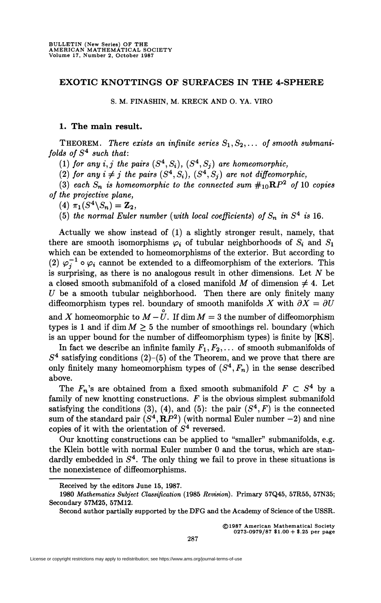## **EXOTIC KNOTTINGS OF SURFACES IN THE 4-SPHERE**

**S. M. FINASHIN, M. KRECK AND 0 . YA. VIRO** 

## **1. The main result.**

**THEOREM.** There exists an infinite series  $S_1, S_2, \ldots$  of smooth submani*folds of* S<sup>4</sup>  *such that:* 

 $(1)$  for any  $i, j$  the pairs  $(S<sup>4</sup>, S<sub>i</sub>)$ ,  $(S<sup>4</sup>, S<sub>j</sub>)$  are homeomorphic,

(2) for any  $i \neq j$  the pairs  $(S^4, S_i)$ ,  $(S^4, S_j)$  are not diffeomorphic,

(3) each  $S_n$  is homeomorphic to the connected sum  $\#_{10}RP^2$  of 10 copies *of the projective plane,* 

 $(4)$   $\pi_1(S^4 \backslash S_n) = \mathbb{Z}_2$ ,

(5) the normal Euler number (with local coefficients) of  $S_n$  in  $S^4$  is 16.

Actually we show instead of (1) a slightly stronger result, namely, that there are smooth isomorphisms  $\varphi_i$  of tubular neighborhoods of  $S_i$  and  $S_1$ which can be extended to homeomorphisms of the exterior. But according to (2)  $\varphi_i^{-1} \circ \varphi_i$  cannot be extended to a diffeomorphism of the exteriors. This is surprising, as there is no analogous result in other dimensions. Let *N* be a closed smooth submanifold of a closed manifold  $M$  of dimension  $\neq$  4. Let *U* be a smooth tubular neighborhood. Then there are only finitely many diffeomorphism types rel. boundary of smooth manifolds X with  $\partial X = \partial U$ and  $X$  homeomorphic to  $M - \overset{\circ}{U}$ . If  $\dim M = 3$  the number of diffeomorphism types is 1 and if dim  $M \geq 5$  the number of smoothings rel. boundary (which is an upper bound for the number of diffeomorphism types) is finite by [KS].

In fact we describe an infinite family  $F_1, F_2, \ldots$  of smooth submanifolds of  $S<sup>4</sup>$  satisfying conditions (2)–(5) of the Theorem, and we prove that there are only finitely many homeomorphism types of  $(S^4, F_n)$  in the sense described above.

The  $F_n$ 's are obtained from a fixed smooth submanifold  $F \subset S^4$  by a family of new knotting constructions.  $F$  is the obvious simplest submanifold satisfying the conditions (3), (4), and (5): the pair  $(S<sup>4</sup>, F)$  is the connected sum of the standard pair  $(S^4, \mathbf{R}P^2)$  (with normal Euler number  $-2$ ) and nine copies of it with the orientation of  $S<sup>4</sup>$  reversed.

Our knotting constructions can be applied to "smaller" submanifolds, e.g. the Klein bottle with normal Euler number 0 and the torus, which are standardly embedded in  $S<sup>4</sup>$ . The only thing we fail to prove in these situations is the nonexistence of diffeomorphisms.

©1987 American Mathematical Society 0273-0979/87 \$1.00 + \$.25 per page

**Received by the editors June 15, 1987.** 

**<sup>1980</sup>** *Mathematics Subject Classification* **(1985** *Revision).* **Primary 57Q45, 57R55, 57N35; Secondary 57M25, 57M12.** 

**Second author partially supported by the DFG and the Academy of Science of the USSR.**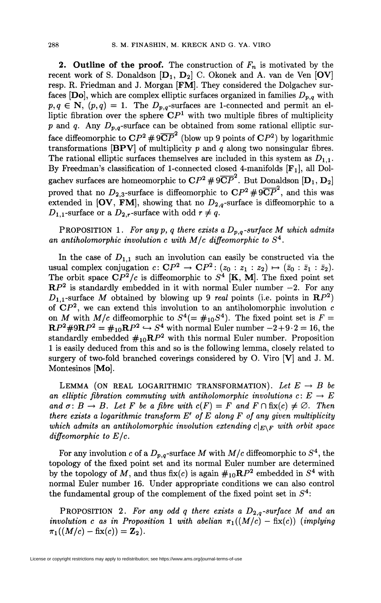**2. Outline of the proof.** The construction of  $F_n$  is motivated by the recent work of S. Donaldson  $[D_1, D_2]$  C. Okonek and A. van de Ven  $[OV]$ resp. R. Friedman and J. Morgan [FM]. They considered the Dolgachev surfaces  $[Do]$ , which are complex elliptic surfaces organized in families  $D_{p,q}$  with  $p, q \in \mathbb{N}$ ,  $(p, q) = 1$ . The  $D_{p,q}$ -surfaces are 1-connected and permit an elliptic fibration over the sphere  $\mathbb{C}P^1$  with two multiple fibres of multiplicity *p* and *q*. Any  $D_{p,q}$ -surface can be obtained from some rational elliptic surface diffeomorphic to  $\mathbb{C}P^2 \# 9\overline{\mathbb{C}P}^2$  (blow up 9 points of  $\mathbb{C}P^2$ ) by logarithmic transformations [BPV] of multiplicity *p* and *q* along two nonsingular fibres. The rational elliptic surfaces themselves are included in this system as  $D_{1,1}$ . By Freedman's classification of 1-connected closed 4-manifolds  $[F_1]$ , all Dolgachev surfaces are homeomorphic to  $\mathbf{C}P^2 \# 9 \overline{\mathbf{C}P}^2$ . But Donaldson  $[\mathbf{D}_1, \mathbf{D}_2]$ proved that no  $D_{2,3}$ -surface is diffeomorphic to  $\mathbb{C}P^2 \# 9\overline{\mathbb{C}P}^2$ , and this was extended in [OV, FM], showing that no  $D_{2,q}$ -surface is diffeomorphic to a  $D_{1,1}$ -surface or a  $D_{2,r}$ -surface with odd  $r \neq q$ .

PROPOSITION 1. For any p, q there exists a  $D_{p,q}$ -surface M which admits *an antiholomorphic involution c with M/c diffeomorphic to S<sup>4</sup>* .

In the case of  $D_{1,1}$  such an involution can easily be constructed via the usual complex conjugation  $c: \mathbb{C}P^2 \to \mathbb{C}P^2$ :  $(z_0:z_1:z_2) \mapsto (\bar{z}_0: \bar{z}_1: \bar{z}_2)$ . The orbit space  $\mathbb{C}P^2/c$  is diffeomorphic to  $S^4$  [K, M]. The fixed point set  $\mathbb{R}P^2$  is standardly embedded in it with normal Euler number  $-2$ . For any  $D_{1,1}$ -surface M obtained by blowing up 9 *real* points (i.e. points in  $\mathbb{R}P^2$ ) of  $\mathbb{C}P^2$ , we can extend this involution to an antiholomorphic involution  $c$ on *M* with  $M/c$  diffeomorphic to  $S^4$ (=  $\#_{10}S^4$ ). The fixed point set is  $F =$  $\mathbf{R}P^2 \# 9\mathbf{R}P^2 = \#_{10}\mathbf{R}P^2 \hookrightarrow S^4$  with normal Euler number  $-2+9\cdot 2=16$ , the standardly embedded  $\#_{10} \mathbb{R}P^2$  with this normal Euler number. Proposition 1 is easily deduced from this and so is the following lemma, closely related to surgery of two-fold branched coverings considered by O. Viro [V] and J. M. Montesinos [Mo].

LEMMA (ON REAL LOGARITHMIC TRANSFORMATION). Let  $E \rightarrow B$  be an elliptic fibration commuting with antiholomorphic involutions  $c: E \to E$ *and*  $\sigma: B \to B$ . Let F be a fibre with  $c(F) = F$  and  $F \cap fix(c) \neq \emptyset$ . Then *there exists a logarithmic transform E' of E along F of any given multiplicity which admits an antiholomorphic involution extending*  $c|_{E\setminus F}$  *with orbit space diffeomorphic to E/c.* 

For any involution c of a  $D_{p,q}$ -surface M with  $M/c$  diffeomorphic to  $S^4$ , the topology of the fixed point set and its normal Euler number are determined by the topology of M, and thus fix(c) is again  $\#_{10}RP^2$  embedded in  $S^4$  with normal Euler number 16. Under appropriate conditions we can also control the fundamental group of the complement of the fixed point set in  $S<sup>4</sup>$ :

**PROPOSITION** 2. For any odd q there exists a  $D_{2,q}$ -surface M and an *involution c as in Proposition* 1 with abelian  $\pi_1((M/c) - \text{fix}(c))$  (implying  $\pi_1((M/c) - f\text{fix}(c)) = \mathbb{Z}_2$ .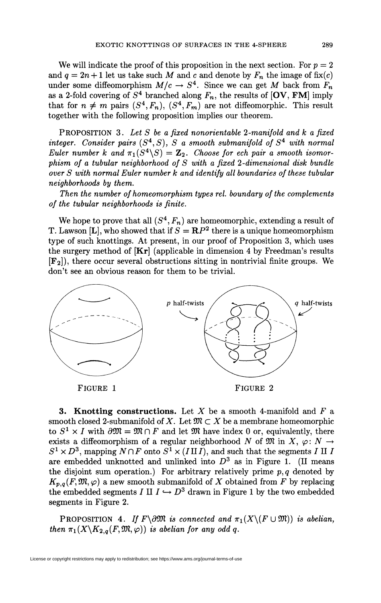We will indicate the proof of this proposition in the next section. For  $p = 2$ and  $q = 2n + 1$  let us take such M and c and denote by  $F_n$  the image of fix(c) under some diffeomorphism  $M/c \rightarrow S^4$ . Since we can get M back from  $F_n$ as a 2-fold covering of  $S^4$  branched along  $F_n$ , the results of  $\left[\text{OV}, \text{FM}\right]$  imply that for  $n \neq m$  pairs  $(S^4, F_n)$ ,  $(S^4, F_m)$  are not diffeomorphic. This result together with the following proposition implies our theorem.

PROPOSITION 3. *Let S be a fixed nonorientable 2-manifold and k a fixed integer.* Consider pairs  $(S<sup>4</sup>, S)$ , S a smooth submanifold of  $S<sup>4</sup>$  with normal *Euler number k and*  $\pi_1(S^4 \backslash S) = \mathbb{Z}_2$ . Choose for ech pair a smooth isomor*phism of a tubular neighborhood of S with a fixed 2-dimensional disk bundle over S with normal Euler number k and identify all boundaries of these tubular neighborhoods by them.* 

*Then the number of homeomorphism types rel. boundary of the complements of the tubular neighborhoods is finite.* 

We hope to prove that all  $(S^4, F_n)$  are homeomorphic, extending a result of T. Lawson [L], who showed that if  $S = \mathbb{R}P^2$  there is a unique homeomorphism type of such knottings. At present, in our proof of Proposition 3, which uses the surgery method of  $[Kr]$  (applicable in dimension 4 by Freedman's results [F2]), there occur several obstructions sitting in nontrivial finite groups. We don't see an obvious reason for them to be trivial.



**3. Knotting constructions.** Let *X* be a smooth 4-manifold and *F* a smooth closed 2-submanifold of X. Let  $\mathfrak{M} \subset X$  be a membrane homeomorphic to  $S^1 \times I$  with  $\partial \mathfrak{M} = \mathfrak{M} \cap F$  and let  $\mathfrak{M}$  have index 0 or, equivalently, there exists a diffeomorphism of a regular neighborhood N of  $\mathfrak{M}$  in  $X, \varphi \colon N \to$  $S^1 \times D^3$ , mapping  $N \cap F$  onto  $S^1 \times (I \amalg I)$ , and such that the segments *I* II *I* are embedded unknotted and unlinked into  $D^3$  as in Figure 1. (II means the disjoint sum operation.) For arbitrary relatively prime  $p, q$  denoted by  $K_{p,q}(F, \mathfrak{M}, \varphi)$  a new smooth submanifold of X obtained from F by replacing the embedded segments *I* II  $I \hookrightarrow D^3$  drawn in Figure 1 by the two embedded segments in Figure 2.

**PROPOSITION** 4. If  $F \d0\mathfrak{M}$  is connected and  $\pi_1(X \setminus (F \cup \mathfrak{M}))$  is abelian, *then*  $\pi_1(X \backslash K_{2,q}(F, \mathfrak{M}, \varphi))$  *is abelian for any odd q.*